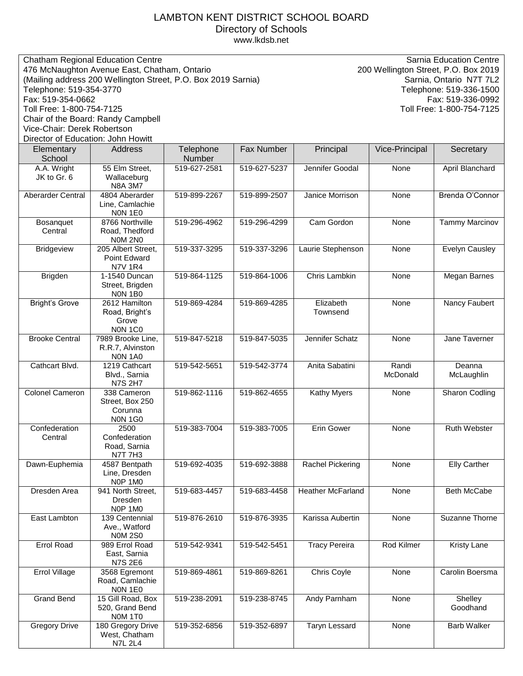## LAMBTON KENT DISTRICT SCHOOL BOARD Directory of Schools [www.lkdsb.net](http://www.lkdsb.net/)

| Chatham Regional Education Centre<br>476 McNaughton Avenue East, Chatham, Ontario<br>(Mailing address 200 Wellington Street, P.O. Box 2019 Sarnia)<br>Telephone: 519-354-3770<br>Fax: 519-354-0662<br>Toll Free: 1-800-754-7125<br>Chair of the Board: Randy Campbell<br>Vice-Chair: Derek Robertson<br>Director of Education: John Howitt |                                                             |              |              | <b>Sarnia Education Centre</b><br>200 Wellington Street, P.O. Box 2019<br>Sarnia, Ontario N7T 7L2<br>Telephone: 519-336-1500<br>Fax: 519-336-0992<br>Toll Free: 1-800-754-7125 |                   |                       |  |
|--------------------------------------------------------------------------------------------------------------------------------------------------------------------------------------------------------------------------------------------------------------------------------------------------------------------------------------------|-------------------------------------------------------------|--------------|--------------|--------------------------------------------------------------------------------------------------------------------------------------------------------------------------------|-------------------|-----------------------|--|
| Elementary                                                                                                                                                                                                                                                                                                                                 | Address                                                     | Telephone    | Fax Number   | Principal                                                                                                                                                                      | Vice-Principal    | Secretary             |  |
| School                                                                                                                                                                                                                                                                                                                                     |                                                             | Number       |              |                                                                                                                                                                                |                   |                       |  |
| A.A. Wright<br>JK to Gr. 6                                                                                                                                                                                                                                                                                                                 | 55 Elm Street,<br>Wallaceburg<br><b>N8A 3M7</b>             | 519-627-2581 | 519-627-5237 | Jennifer Goodal                                                                                                                                                                | None              | April Blanchard       |  |
| Aberarder Central                                                                                                                                                                                                                                                                                                                          | 4804 Aberarder<br>Line, Camlachie<br>NON 1E0                | 519-899-2267 | 519-899-2507 | Janice Morrison                                                                                                                                                                | None              | Brenda O'Connor       |  |
| Bosanquet<br>Central                                                                                                                                                                                                                                                                                                                       | 8766 Northville<br>Road, Thedford<br><b>NOM 2NO</b>         | 519-296-4962 | 519-296-4299 | Cam Gordon                                                                                                                                                                     | None              | Tammy Marcinov        |  |
| <b>Bridgeview</b>                                                                                                                                                                                                                                                                                                                          | 205 Albert Street,<br>Point Edward<br><b>N7V 1R4</b>        | 519-337-3295 | 519-337-3296 | Laurie Stephenson                                                                                                                                                              | None              | <b>Evelyn Causley</b> |  |
| Brigden                                                                                                                                                                                                                                                                                                                                    | 1-1540 Duncan<br>Street, Brigden<br>NON 1BO                 | 519-864-1125 | 519-864-1006 | Chris Lambkin                                                                                                                                                                  | None              | Megan Barnes          |  |
| <b>Bright's Grove</b>                                                                                                                                                                                                                                                                                                                      | 2612 Hamilton<br>Road, Bright's<br>Grove<br><b>NON 1CO</b>  | 519-869-4284 | 519-869-4285 | Elizabeth<br>Townsend                                                                                                                                                          | None              | Nancy Faubert         |  |
| <b>Brooke Central</b>                                                                                                                                                                                                                                                                                                                      | 7989 Brooke Line,<br>R.R.7, Alvinston<br><b>NON 1A0</b>     | 519-847-5218 | 519-847-5035 | Jennifer Schatz                                                                                                                                                                | None              | Jane Taverner         |  |
| Cathcart Blvd.                                                                                                                                                                                                                                                                                                                             | 1219 Cathcart<br>Blvd., Sarnia<br><b>N7S 2H7</b>            | 519-542-5651 | 519-542-3774 | Anita Sabatini                                                                                                                                                                 | Randi<br>McDonald | Deanna<br>McLaughlin  |  |
| <b>Colonel Cameron</b>                                                                                                                                                                                                                                                                                                                     | 338 Cameron<br>Street, Box 250<br>Corunna<br><b>NON 1G0</b> | 519-862-1116 | 519-862-4655 | Kathy Myers                                                                                                                                                                    | None              | Sharon Codling        |  |
| Confederation<br>Central                                                                                                                                                                                                                                                                                                                   | 2500<br>Confederation<br>Road, Sarnia<br><b>N7T 7H3</b>     | 519-383-7004 | 519-383-7005 | Erin Gower                                                                                                                                                                     | None              | <b>Ruth Webster</b>   |  |
| Dawn-Euphemia                                                                                                                                                                                                                                                                                                                              | 4587 Bentpath<br>Line, Dresden<br>NOP 1MO                   | 519-692-4035 | 519-692-3888 | Rachel Pickering                                                                                                                                                               | None              | <b>Elly Carther</b>   |  |
| Dresden Area                                                                                                                                                                                                                                                                                                                               | 941 North Street,<br>Dresden<br><b>NOP 1MO</b>              | 519-683-4457 | 519-683-4458 | <b>Heather McFarland</b>                                                                                                                                                       | None              | <b>Beth McCabe</b>    |  |
| East Lambton                                                                                                                                                                                                                                                                                                                               | 139 Centennial<br>Ave., Watford<br><b>N0M 2S0</b>           | 519-876-2610 | 519-876-3935 | Karissa Aubertin                                                                                                                                                               | None              | Suzanne Thorne        |  |
| Errol Road                                                                                                                                                                                                                                                                                                                                 | 989 Errol Road<br>East, Sarnia<br><b>N7S 2E6</b>            | 519-542-9341 | 519-542-5451 | <b>Tracy Pereira</b>                                                                                                                                                           | Rod Kilmer        | Kristy Lane           |  |
| Errol Village                                                                                                                                                                                                                                                                                                                              | 3568 Egremont<br>Road, Camlachie<br>NON 1E0                 | 519-869-4861 | 519-869-8261 | <b>Chris Coyle</b>                                                                                                                                                             | None              | Carolin Boersma       |  |
| <b>Grand Bend</b>                                                                                                                                                                                                                                                                                                                          | 15 Gill Road, Box<br>520, Grand Bend<br>NOM 1TO             | 519-238-2091 | 519-238-8745 | Andy Parnham                                                                                                                                                                   | None              | Shelley<br>Goodhand   |  |
| <b>Gregory Drive</b>                                                                                                                                                                                                                                                                                                                       | 180 Gregory Drive<br>West, Chatham<br><b>N7L 2L4</b>        | 519-352-6856 | 519-352-6897 | Taryn Lessard                                                                                                                                                                  | None              | <b>Barb Walker</b>    |  |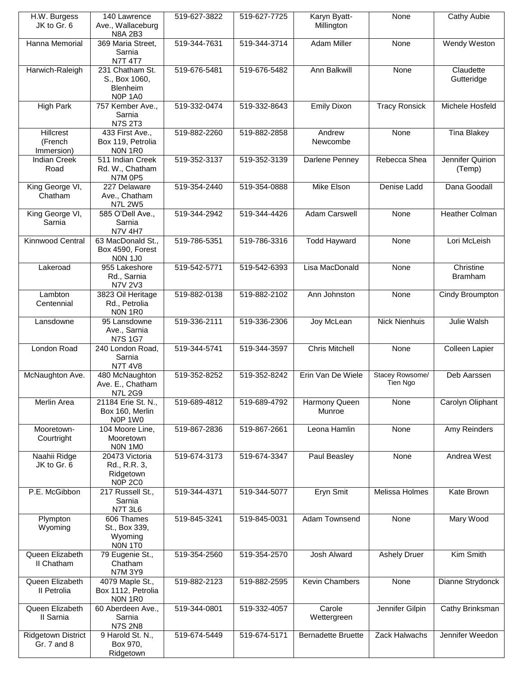| H.W. Burgess<br>JK to Gr. 6               | 140 Lawrence<br>Ave., Wallaceburg                                                       | 519-627-3822 | 519-627-7725 | Karyn Byatt-<br>Millington | None                        | Cathy Aubie                 |
|-------------------------------------------|-----------------------------------------------------------------------------------------|--------------|--------------|----------------------------|-----------------------------|-----------------------------|
| Hanna Memorial                            | <b>N8A 2B3</b><br>369 Maria Street,<br>Sarnia                                           | 519-344-7631 | 519-344-3714 | Adam Miller                | None                        | Wendy Weston                |
| Harwich-Raleigh                           | <b>N7T 4T7</b><br>231 Chatham St.<br>S., Box 1060,<br><b>Blenheim</b><br><b>NOP 1A0</b> | 519-676-5481 | 519-676-5482 | Ann Balkwill               | None                        | Claudette<br>Gutteridge     |
| <b>High Park</b>                          | 757 Kember Ave.,<br>Sarnia<br><b>N7S 2T3</b>                                            | 519-332-0474 | 519-332-8643 | <b>Emily Dixon</b>         | <b>Tracy Ronsick</b>        | Michele Hosfeld             |
| <b>Hillcrest</b><br>(French<br>Immersion) | 433 First Ave.,<br>Box 119, Petrolia<br><b>NON 1R0</b>                                  | 519-882-2260 | 519-882-2858 | Andrew<br>Newcombe         | None                        | <b>Tina Blakey</b>          |
| <b>Indian Creek</b><br>Road               | 511 Indian Creek<br>Rd. W., Chatham<br><b>N7M 0P5</b>                                   | 519-352-3137 | 519-352-3139 | Darlene Penney             | Rebecca Shea                | Jennifer Quirion<br>(Temp)  |
| King George VI,<br>Chatham                | 227 Delaware<br>Ave., Chatham<br><b>N7L 2W5</b>                                         | 519-354-2440 | 519-354-0888 | Mike Elson                 | Denise Ladd                 | Dana Goodall                |
| King George VI,<br>Sarnia                 | 585 O'Dell Ave.,<br>Sarnia<br><b>N7V 4H7</b>                                            | 519-344-2942 | 519-344-4426 | Adam Carswell              | None                        | <b>Heather Colman</b>       |
| <b>Kinnwood Central</b>                   | 63 MacDonald St.,<br>Box 4590, Forest<br><b>NON 1J0</b>                                 | 519-786-5351 | 519-786-3316 | <b>Todd Hayward</b>        | None                        | Lori McLeish                |
| Lakeroad                                  | 955 Lakeshore<br>Rd., Sarnia<br>N7V 2V3                                                 | 519-542-5771 | 519-542-6393 | Lisa MacDonald             | None                        | Christine<br><b>Bramham</b> |
| Lambton<br>Centennial                     | 3823 Oil Heritage<br>Rd., Petrolia<br>NON 1R0                                           | 519-882-0138 | 519-882-2102 | Ann Johnston               | None                        | Cindy Broumpton             |
| Lansdowne                                 | 95 Lansdowne<br>Ave., Sarnia<br><b>N7S 1G7</b>                                          | 519-336-2111 | 519-336-2306 | Joy McLean                 | <b>Nick Nienhuis</b>        | Julie Walsh                 |
| London Road                               | 240 London Road,<br>Sarnia<br><b>N7T 4V8</b>                                            | 519-344-5741 | 519-344-3597 | <b>Chris Mitchell</b>      | None                        | Colleen Lapier              |
| McNaughton Ave.                           | 480 McNaughton<br>Ave. E., Chatham<br><b>N7L 2G9</b>                                    | 519-352-8252 | 519-352-8242 | Erin Van De Wiele          | Stacey Rowsome/<br>Tien Ngo | Deb Aarssen                 |
| Merlin Area                               | 21184 Erie St. N.,<br>Box 160, Merlin<br>NOP 1W0                                        | 519-689-4812 | 519-689-4792 | Harmony Queen<br>Munroe    | None                        | Carolyn Oliphant            |
| Mooretown-<br>Courtright                  | 104 Moore Line,<br>Mooretown<br>NON 1MO                                                 | 519-867-2836 | 519-867-2661 | Leona Hamlin               | None                        | Amy Reinders                |
| Naahii Ridge<br>JK to Gr. 6               | 20473 Victoria<br>Rd., R.R. 3,<br>Ridgetown<br><b>N0P 2C0</b>                           | 519-674-3173 | 519-674-3347 | Paul Beasley               | None                        | Andrea West                 |
| P.E. McGibbon                             | 217 Russell St.,<br>Sarnia<br><b>N7T 3L6</b>                                            | 519-344-4371 | 519-344-5077 | Eryn Smit                  | Melissa Holmes              | Kate Brown                  |
| Plympton<br>Wyoming                       | 606 Thames<br>St., Box 339,<br>Wyoming<br>NON 1TO                                       | 519-845-3241 | 519-845-0031 | Adam Townsend              | None                        | Mary Wood                   |
| Queen Elizabeth<br>II Chatham             | 79 Eugenie St.,<br>Chatham<br>N7M 3Y9                                                   | 519-354-2560 | 519-354-2570 | <b>Josh Alward</b>         | <b>Ashely Druer</b>         | Kim Smith                   |
| Queen Elizabeth<br>II Petrolia            | 4079 Maple St.,<br>Box 1112, Petrolia<br>NON 1R0                                        | 519-882-2123 | 519-882-2595 | Kevin Chambers             | None                        | Dianne Strydonck            |
| Queen Elizabeth<br>II Sarnia              | 60 Aberdeen Ave.,<br>Sarnia<br><b>N7S 2N8</b>                                           | 519-344-0801 | 519-332-4057 | Carole<br>Wettergreen      | Jennifer Gilpin             | Cathy Brinksman             |
| <b>Ridgetown District</b><br>Gr. 7 and 8  | 9 Harold St. N.,<br>Box 970,<br>Ridgetown                                               | 519-674-5449 | 519-674-5171 | <b>Bernadette Bruette</b>  | Zack Halwachs               | Jennifer Weedon             |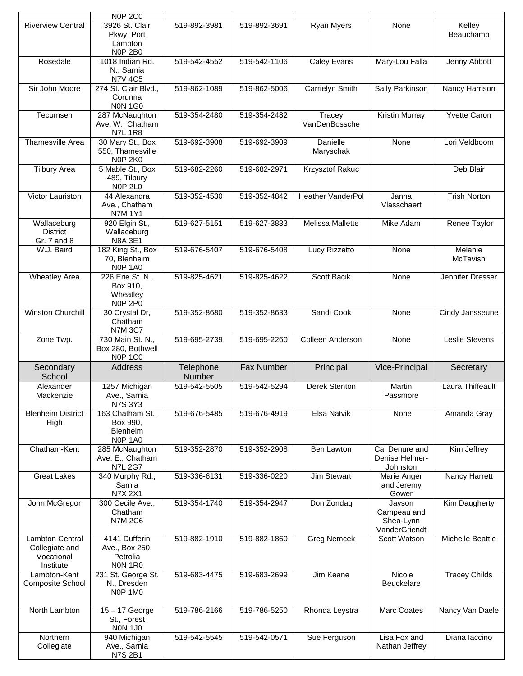|                                                                     | <b>N0P 2C0</b>                                                    |                     |              |                          |                                                     |                         |
|---------------------------------------------------------------------|-------------------------------------------------------------------|---------------------|--------------|--------------------------|-----------------------------------------------------|-------------------------|
| <b>Riverview Central</b>                                            | 3926 St. Clair<br>Pkwy. Port<br>Lambton<br><b>N0P 2B0</b>         | 519-892-3981        | 519-892-3691 | Ryan Myers               | None                                                | Kelley<br>Beauchamp     |
| Rosedale                                                            | 1018 Indian Rd.<br>N., Sarnia<br><b>N7V 4C5</b>                   | 519-542-4552        | 519-542-1106 | <b>Caley Evans</b>       | Mary-Lou Falla                                      | Jenny Abbott            |
| Sir John Moore                                                      | 274 St. Clair Blvd.,<br>Corunna<br><b>NON 1G0</b>                 | 519-862-1089        | 519-862-5006 | Carrielyn Smith          | Sally Parkinson                                     | Nancy Harrison          |
| Tecumseh                                                            | 287 McNaughton<br>Ave. W., Chatham<br><b>N7L 1R8</b>              | 519-354-2480        | 519-354-2482 | Tracey<br>VanDenBossche  | <b>Kristin Murray</b>                               | <b>Yvette Caron</b>     |
| <b>Thamesville Area</b>                                             | 30 Mary St., Box<br>550, Thamesville<br><b>N0P 2K0</b>            | 519-692-3908        | 519-692-3909 | Danielle<br>Maryschak    | None                                                | Lori Veldboom           |
| <b>Tilbury Area</b>                                                 | 5 Mable St., Box<br>489, Tilbury<br>NOP <sub>2L0</sub>            | 519-682-2260        | 519-682-2971 | Krzysztof Rakuc          |                                                     | Deb Blair               |
| Victor Lauriston                                                    | 44 Alexandra<br>Ave., Chatham<br>N7M 1Y1                          | 519-352-4530        | 519-352-4842 | <b>Heather VanderPol</b> | Janna<br>Vlasschaert                                | <b>Trish Norton</b>     |
| Wallaceburg<br><b>District</b><br>Gr. 7 and 8                       | 920 Elgin St.,<br>Wallaceburg<br><b>N8A 3E1</b>                   | 519-627-5151        | 519-627-3833 | <b>Melissa Mallette</b>  | Mike Adam                                           | Renee Taylor            |
| W.J. Baird                                                          | 182 King St., Box<br>70, Blenheim<br>NOP <sub>1A0</sub>           | 519-676-5407        | 519-676-5408 | Lucy Rizzetto            | None                                                | Melanie<br>McTavish     |
| <b>Wheatley Area</b>                                                | 226 Erie St. N.,<br>Box 910,<br>Wheatley<br><b>N0P 2P0</b>        | 519-825-4621        | 519-825-4622 | Scott Bacik              | None                                                | Jennifer Dresser        |
| <b>Winston Churchill</b>                                            | 30 Crystal Dr,<br>Chatham<br><b>N7M 3C7</b>                       | 519-352-8680        | 519-352-8633 | Sandi Cook               | None                                                | Cindy Jansseune         |
| Zone Twp.                                                           | 730 Main St. N.,<br>Box 280, Bothwell<br><b>NOP 1C0</b>           | 519-695-2739        | 519-695-2260 | Colleen Anderson         | None                                                | Leslie Stevens          |
| Secondary<br>School                                                 | <b>Address</b>                                                    | Telephone<br>Number | Fax Number   | Principal                | Vice-Principal                                      | Secretary               |
| Alexander<br>Mackenzie                                              | 1257 Michigan<br>Ave., Sarnia<br><b>N7S 3Y3</b>                   | 519-542-5505        | 519-542-5294 | Derek Stenton            | Martin<br>Passmore                                  | <b>Laura Thiffeault</b> |
| <b>Blenheim District</b><br>High                                    | 163 Chatham St.,<br>Box 990,<br><b>Blenheim</b><br><b>N0P 1A0</b> | 519-676-5485        | 519-676-4919 | <b>Elsa Natvik</b>       | None                                                | Amanda Gray             |
| Chatham-Kent                                                        | 285 McNaughton<br>Ave. E., Chatham<br><b>N7L 2G7</b>              | 519-352-2870        | 519-352-2908 | Ben Lawton               | Cal Denure and<br>Denise Helmer-<br>Johnston        | Kim Jeffrey             |
| <b>Great Lakes</b>                                                  | 340 Murphy Rd.,<br>Sarnia<br><b>N7X 2X1</b>                       | 519-336-6131        | 519-336-0220 | <b>Jim Stewart</b>       | Marie Anger<br>and Jeremy<br>Gower                  | Nancy Harrett           |
| John McGregor                                                       | 300 Cecile Ave.,<br>Chatham<br><b>N7M 2C6</b>                     | 519-354-1740        | 519-354-2947 | Don Zondag               | Jayson<br>Campeau and<br>Shea-Lynn<br>VanderGriendt | <b>Kim Daugherty</b>    |
| <b>Lambton Central</b><br>Collegiate and<br>Vocational<br>Institute | 4141 Dufferin<br>Ave., Box 250,<br>Petrolia<br>NON 1R0            | 519-882-1910        | 519-882-1860 | <b>Greg Nemcek</b>       | Scott Watson                                        | Michelle Beattie        |
| Lambton-Kent<br>Composite School                                    | 231 St. George St.<br>N., Dresden<br><b>N0P 1M0</b>               | 519-683-4475        | 519-683-2699 | Jim Keane                | Nicole<br>Beuckelare                                | <b>Tracey Childs</b>    |
| North Lambton                                                       | 15 - 17 George<br>St., Forest<br><b>NON 1J0</b>                   | 519-786-2166        | 519-786-5250 | Rhonda Leystra           | Marc Coates                                         | Nancy Van Daele         |
| Northern<br>Collegiate                                              | 940 Michigan<br>Ave., Sarnia<br><b>N7S 2B1</b>                    | 519-542-5545        | 519-542-0571 | Sue Ferguson             | Lisa Fox and<br>Nathan Jeffrey                      | Diana laccino           |